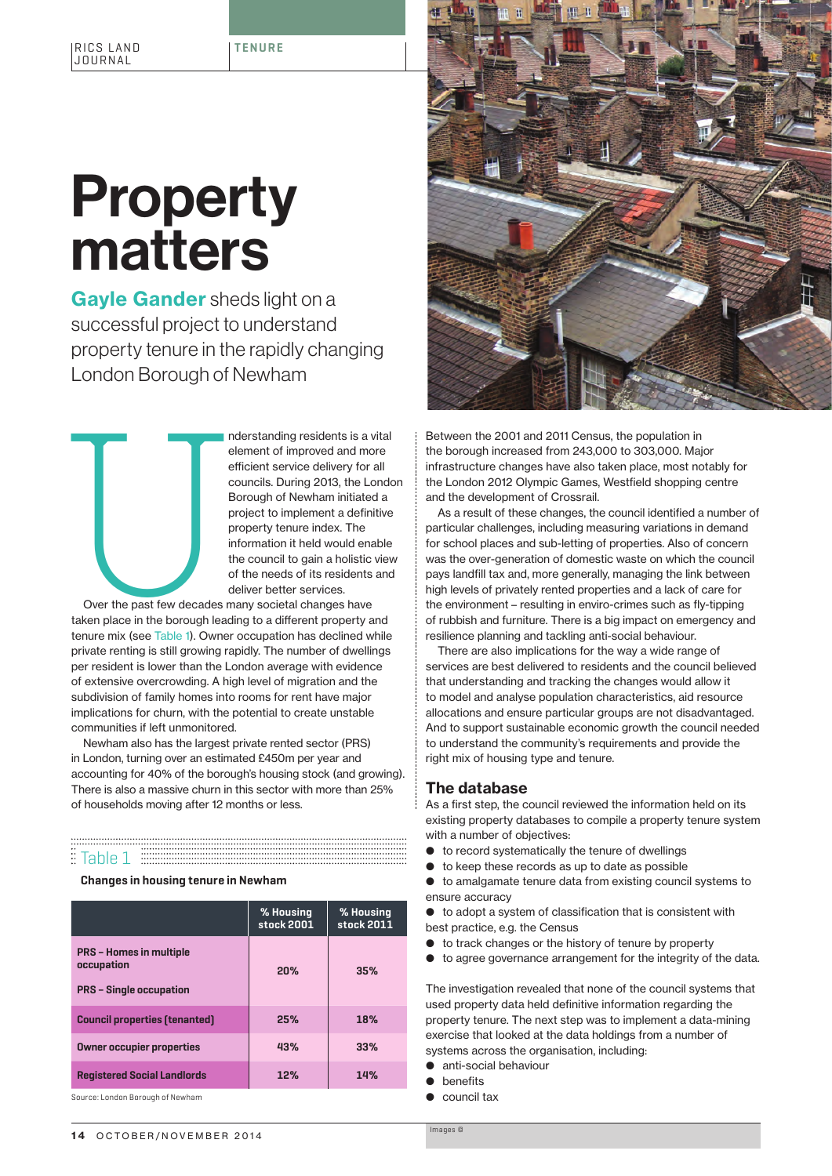# **Property** matters

Gayle Gander sheds light on a successful project to understand property tenure in the rapidly changing London Borough of Newham

LONIQUE DONOUGH OF INEWHETHET IS a vital<br>
element of improved and more<br>
efficient service delivery for all<br>
councils. During 2013, the London<br>
Borough of Newham initiated a<br>
project to implement a definitive<br>
property tenu element of improved and more efficient service delivery for all councils. During 2013, the London Borough of Newham initiated a project to implement a definitive property tenure index. The information it held would enable the council to gain a holistic view of the needs of its residents and deliver better services.

Over the past few decades many societal changes have taken place in the borough leading to a different property and tenure mix (see Table 1). Owner occupation has declined while private renting is still growing rapidly. The number of dwellings per resident is lower than the London average with evidence of extensive overcrowding. A high level of migration and the subdivision of family homes into rooms for rent have major implications for churn, with the potential to create unstable communities if left unmonitored.

Newham also has the largest private rented sector (PRS) in London, turning over an estimated £450m per year and accounting for 40% of the borough's housing stock (and growing). There is also a massive churn in this sector with more than 25% of households moving after 12 months or less.

# <u>E</u> Table 1 EEEEEEEEEEEEEEEEEE

**Changes in housing tenure in Newham**

|                                                                                | % Housing<br>stock 2001 | % Housing<br>stock 2011 |
|--------------------------------------------------------------------------------|-------------------------|-------------------------|
| <b>PRS - Homes in multiple</b><br>occupation<br><b>PRS</b> - Single occupation | 20%                     | 35%                     |
| <b>Council properties (tenanted)</b>                                           | 25%                     | 18%                     |
| <b>Owner occupier properties</b>                                               | 43%                     | 33%                     |
| <b>Registered Social Landlords</b>                                             | 12%                     | 14%                     |

Source: London Borough of Newham



Between the 2001 and 2011 Census, the population in the borough increased from 243,000 to 303,000. Major infrastructure changes have also taken place, most notably for the London 2012 Olympic Games, Westfield shopping centre and the development of Crossrail.

As a result of these changes, the council identified a number of particular challenges, including measuring variations in demand for school places and sub-letting of properties. Also of concern was the over-generation of domestic waste on which the council pays landfill tax and, more generally, managing the link between high levels of privately rented properties and a lack of care for the environment – resulting in enviro-crimes such as fly-tipping of rubbish and furniture. There is a big impact on emergency and resilience planning and tackling anti-social behaviour.

There are also implications for the way a wide range of services are best delivered to residents and the council believed that understanding and tracking the changes would allow it to model and analyse population characteristics, aid resource allocations and ensure particular groups are not disadvantaged. And to support sustainable economic growth the council needed to understand the community's requirements and provide the right mix of housing type and tenure.

### The database

As a first step, the council reviewed the information held on its existing property databases to compile a property tenure system with a number of objectives:

- $\bullet$  to record systematically the tenure of dwellings
- $\bullet$  to keep these records as up to date as possible
- $\bullet$  to amalgamate tenure data from existing council systems to ensure accuracy

 $\bullet$  to adopt a system of classification that is consistent with best practice, e.g. the Census

- $\bullet$  to track changes or the history of tenure by property
- $\bullet$  to agree governance arrangement for the integrity of the data.

The investigation revealed that none of the council systems that used property data held definitive information regarding the property tenure. The next step was to implement a data-mining exercise that looked at the data holdings from a number of systems across the organisation, including:

- anti-social behaviour
- **C** benefits
- **Council tax**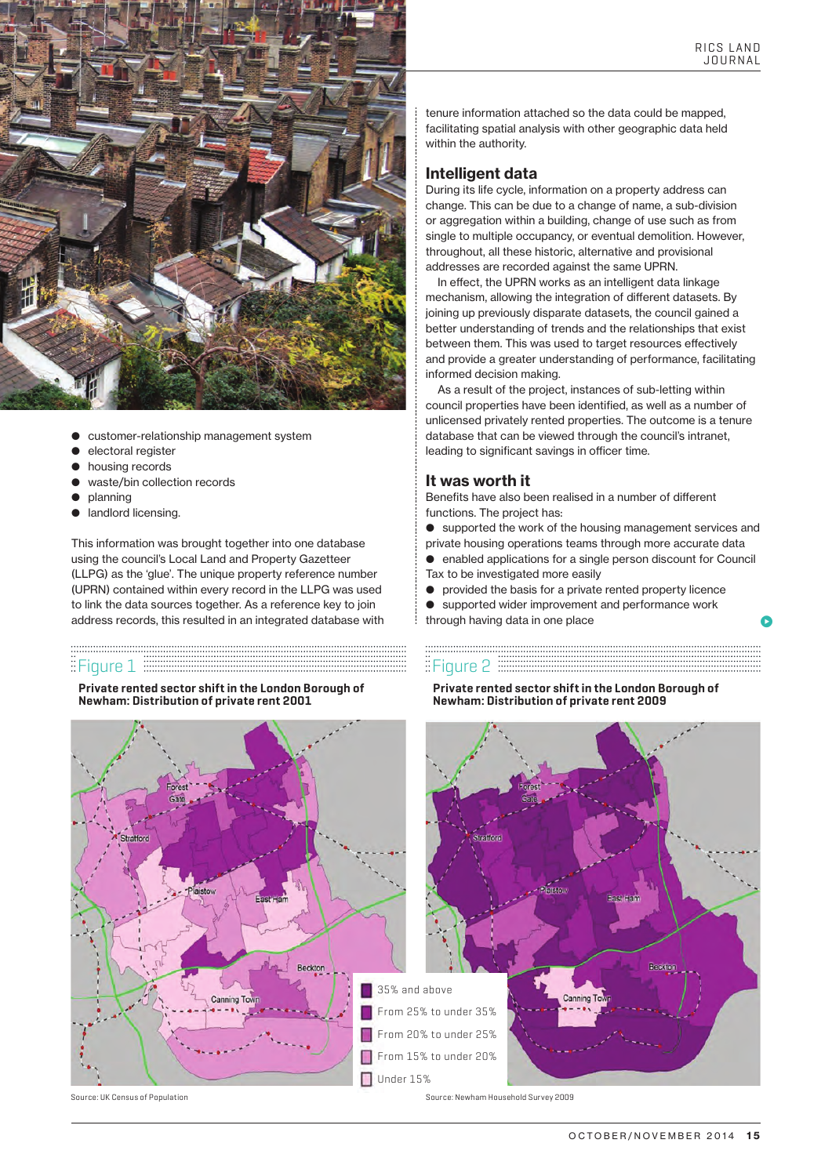$\bullet$ 



- b customer-relationship management system
- electoral register
- housing records
- waste/bin collection records
- planning
- landlord licensing.

This information was brought together into one database using the council's Local Land and Property Gazetteer (LLPG) as the 'glue'. The unique property reference number (UPRN) contained within every record in the LLPG was used to link the data sources together. As a reference key to join address records, this resulted in an integrated database with

## $E$ Figure 1  $E$  Figure 2

**Private rented sector shift in the London Borough of Newham: Distribution of private rent 2001**

tenure information attached so the data could be mapped, facilitating spatial analysis with other geographic data held within the authority.

#### Intelligent data

During its life cycle, information on a property address can change. This can be due to a change of name, a sub-division or aggregation within a building, change of use such as from single to multiple occupancy, or eventual demolition. However, throughout, all these historic, alternative and provisional addresses are recorded against the same UPRN.

In effect, the UPRN works as an intelligent data linkage mechanism, allowing the integration of different datasets. By joining up previously disparate datasets, the council gained a better understanding of trends and the relationships that exist between them. This was used to target resources effectively and provide a greater understanding of performance, facilitating informed decision making.

As a result of the project, instances of sub-letting within council properties have been identified, as well as a number of unlicensed privately rented properties. The outcome is a tenure database that can be viewed through the council's intranet, leading to significant savings in officer time.

### It was worth it

Benefits have also been realised in a number of different functions. The project has:

**•** supported the work of the housing management services and

private housing operations teams through more accurate data b enabled applications for a single person discount for Council

- Tax to be investigated more easily
- **•** provided the basis for a private rented property licence
- $\bullet$  supported wider improvement and performance work
- through having data in one place

**Private rented sector shift in the London Borough of Newham: Distribution of private rent 2009**